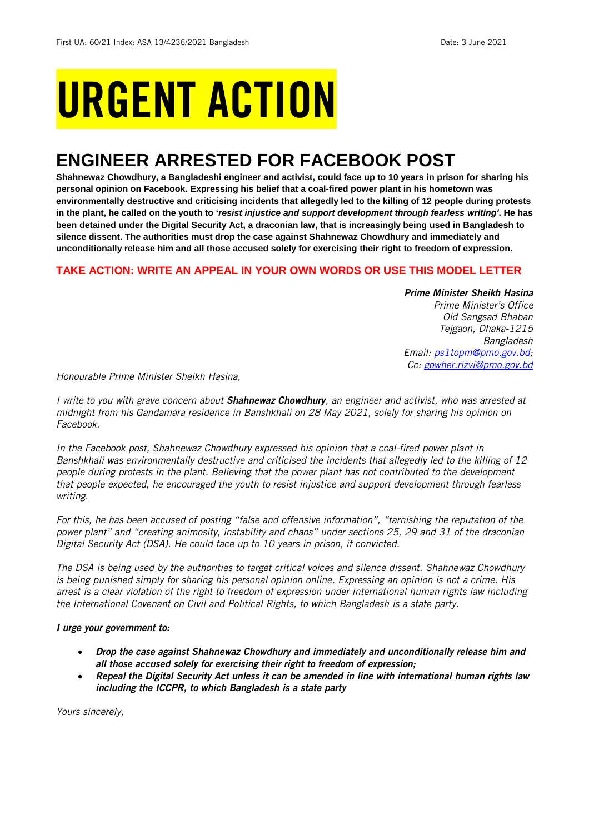# URGENT ACTION

## **ENGINEER ARRESTED FOR FACEBOOK POST**

Shahnewaz Chowdhury, a Bangladeshi engineer and activist, could face up to 10 years in prison for sharing his **personal opinion on Facebook. Expressing his belief that a coal-fired power plant in his hometown was** environmentally destructive and criticising incidents that allegedly led to the killing of 12 people during protests in the plant, he called on the youth to 'resist injustice and support development through fearless writing'. He has been detained under the Digital Security Act, a draconian law, that is increasingly being used in Bangladesh to **silence dissent. The authorities must drop the case against Shahnewaz Chowdhury and immediately and unconditionally release him and all those accused solely for exercising their right to freedom of expression.**

#### **TAKE ACTION: WRITE AN APPEAL IN YOUR OWN WORDS OR USE THIS MODEL LETTER**

#### *Prime Minister Sheikh Hasina*

*Prime Minister's Office Old Sangsad Bhaban Tejgaon, Dhaka-1215 Bangladesh Email: [ps1topm@pmo.gov.bd;](mailto:ps1topm@pmo.gov.bd) Cc: [gowher.rizvi@pmo.gov.bd](mailto:gowher.rizvi@pmo.gov.bd)* 

*Honourable Prime Minister Sheikh Hasina,*

I write to you with grave concern about **Shahnewaz Chowdhury**, an engineer and activist, who was arrested at *midnight from his Gandamara residence in Banshkhali on 28 May 2021, solely for sharing his opinion on Facebook.*

*In the Facebook post, Shahnewaz Chowdhury expressed his opinion that a coal-fired power plant in Banshkhali was environmentally destructive and criticised the incidents that allegedly led to the killing of 12* people during protests in the plant. Believing that the power plant has not contributed to the development *that people expected, he encouraged the youth to resist injustice and support development through fearless writing.*

For this, he has been accused of posting "false and offensive information", "tarnishing the reputation of the power plant" and "creating animosity, instability and chaos" under sections 25, 29 and 31 of the draconian *Digital Security Act (DSA). He could face up to 10 years in prison, if convicted.*

The DSA is being used by the authorities to target critical voices and silence dissent. Shahnewaz Chowdhury is being punished simply for sharing his personal opinion online. Expressing an opinion is not a crime. His arrest is a clear violation of the right to freedom of expression under international human rights law including *the International Covenant on Civil and Political Rights, to which Bangladesh is a state party.*

#### *I urge your government to:*

- *Drop the case against Shahnewaz Chowdhury and immediately and unconditionally release him and all those accused solely for exercising their right to freedom of expression;*
- *Repeal the Digital Security Act unless it can be amended in line with international human rights law including the ICCPR, to which Bangladesh is a state party*

*Yours sincerely,*